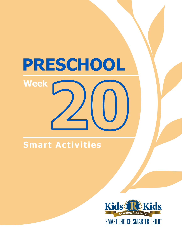## **Smart Activities**

**Week** 

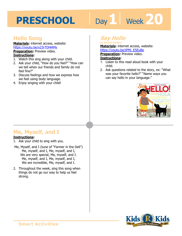# Day 1 **Week 20**

### **Hello Song**

**Materials:** internet access, website: https://youtu.be/x23rTDl4AMs

**Preparation:** Preview video. **Instructions:**

- 1. Watch this sing along with your child.
- 2. Ask your child, "How do you feel?" "How can we tell when our friends and family do not feel fine?"
- 3. Discuss feelings and how we express how we feel using body language.
- 4. Enjoy singing with your child!

## **Say Hello**

**by Rachel Isadora Materials:** internet access, website:

**https://youtu.be/jPMj\_E5EuBo<br><b>Preparation:** Preview video.<br>**Instructions:**<br>4 **Lister to this read aloud book with w Preparation: Preview video.** 

#### **Instructions:**

- 1. Listen to this read aloud book with your child.
- 2. Ask questions related to the story, ex: "What was your favorite hello?" "Name ways you can say hello in your language."



## **Me, Myself, and I**

#### **Instructions:**

- 1. Ask your child to sing with you.
- Me, Myself, and I (tune of "Farmer in the Dell") Me, myself, and I, Me, myself, and I, We are very special, Me, myself, and I. Me, myself, and I, Me, myself, and I, We are incredible, Me, myself, and I.
- 2. Throughout the week, sing this song when things do not go our way to help us feel strong.

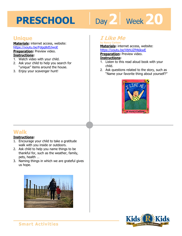# Day 2 **Week** 20

#### **Unique**

**Materials:** internet access, website: https://youtu.be/Fdgq8dSJwoE **Preparation:** Preview video. **Instructions:**

- 1. Watch video with your child.
- 2. Ask your child to help you search for "unique" items around the house.
- 3. Enjoy your scavenger hunt!

### **I Like Me**

**by Nancy Carlson Materials:** internet access, website:

**https://youtu.be/VbhUZPA6kwE<br><b>Preparation:** Preview video.<br>**Instructions:**<br>4 Listen to this read aloud book with w **Preparation: Preview video.** 

#### **Instructions:**

- 1. Listen to this read aloud book with your child.
- 2. Ask questions related to the story, such as "Name your favorite thing about yourself?"



## **Walk**

#### **Instructions:**

- 1. Encourage your child to take a gratitude walk with you inside or outdoors.
- 2. Ask child to help you name things to be thankful for, such as the weather, family, pets, health …
- 3. Naming things in which we are grateful gives us hope.



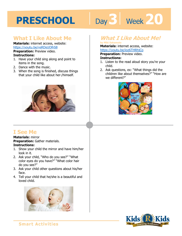# Day 3 | Week 20

#### **What I Like About Me**

**Materials:** internet access, website: https://youtu.be/vsRDsUOlhS8

**Preparation:** Preview video. **Instructions:** 

- 1. Have your child sing along and point to items in the song.
- 2. Dance with the music.
- 3. When the song is finished, discuss things that your child like about her-/himself.



## **I See Me**

**Materials:** mirror **Preparation:** Gather materials. **Instructions:** 

- 1. Show your child the mirror and have him/her look in it.
- 2. Ask your child, "Who do you see?" "What color eyes do you have?" "What color hair do you see?"
- 3. Ask your child other questions about his/her face.
- 4. Tell your child that he/she is a beautiful and loved child.



## **What I Like About Me!**

#### **by Miki Sakamoto**

**Materials:** internet access, website:

https://youtu.be/ioz6THRhjCo<br>**Preparation:** Preview video.<br>**Instructions:**<br>1 Listen to the read aloud star wou're. **Preparation:** Preview video.

#### **Instructions:**

- 1. Listen to the read aloud story you're your child.
- 2. Ask questions, ex: "What things did the children like about themselves?" "How are we different?"



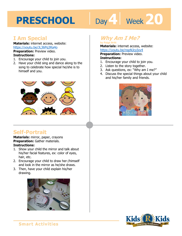# Day 4 Week 20

### **I Am Special**

**Materials:** internet access, website: https://youtu.be/JL36Pq3Ra4o **Preparation:** Preview video.

#### **Instructions:**

- 1. Encourage your child to join you.
- 2. Have your child sing and dance along to the song to celebrate how special he/she is to himself and you.



## **Self-Portrait**

**Materials:** mirror, paper, crayons **Preparation:** Gather materials. **Instructions:** 

- 1. Show your child the mirror and talk about his/her facial features, ex: color of eyes, hair, etc.
- 2. Encourage your child to draw her-/himself and look in the mirror as he/she draws.
- 3. Then, have your child explain his/her drawing.



### **Why Am I Me?**

**by Paige Britt Materials:** internet access, website:

**1 4**  https://youtu.be/nspNJcyIxv4 **Preparation:** Preview video. **Instructions:** 

- 1. Encourage your child to join you.
- 2. Listen to the story together.
- 3. Ask questions, ex: "Why am I me?"
- 4. Discuss the special things about your child and his/her family and friends.